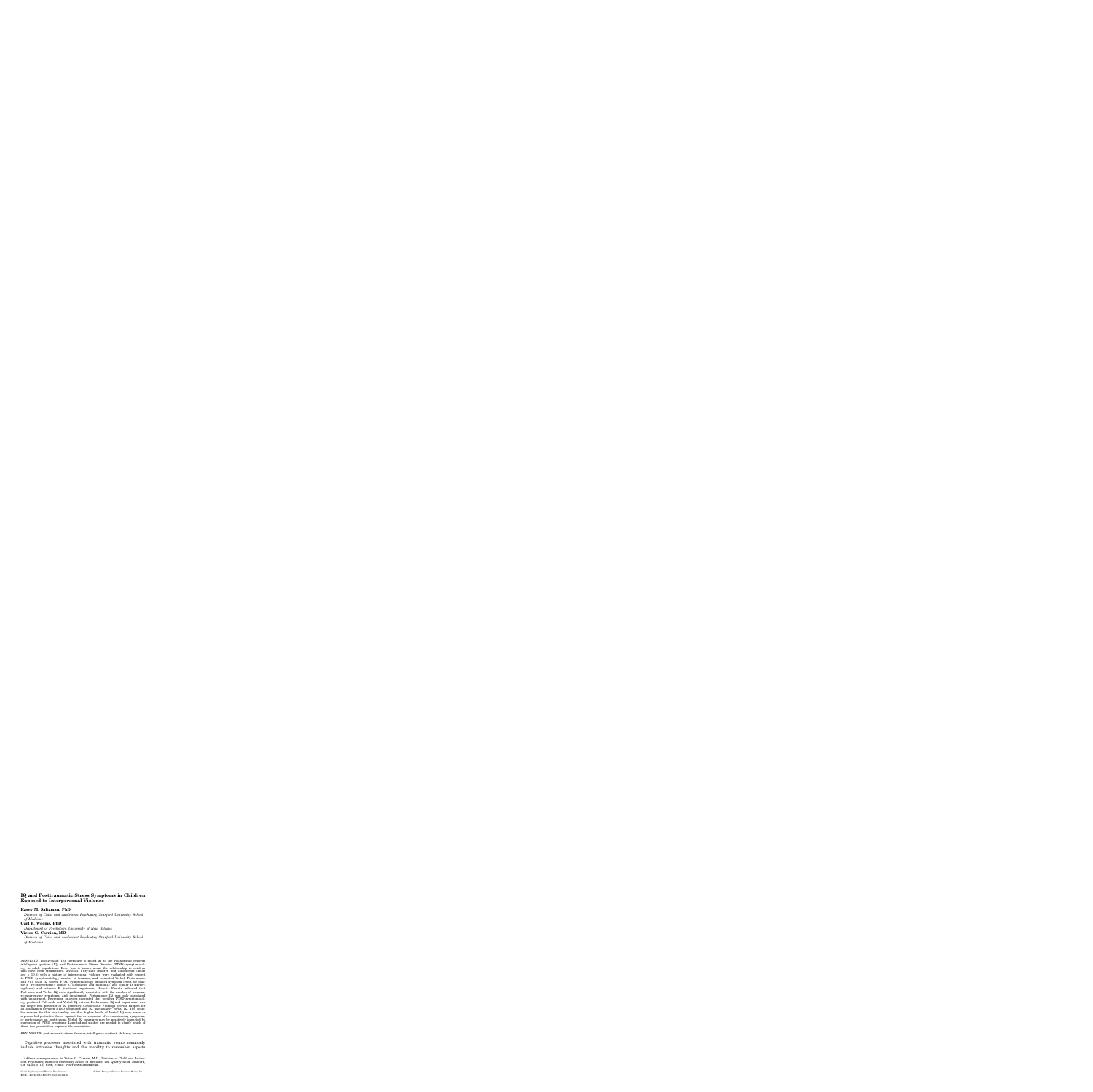# **IQ and Posttraumatic Stress Symptoms in Children Exposed to Interpersonal Violence**

### **Kasey M. Saltzman, PhD**

*Division of Child and Adolescent Psychiatry, Stanford University School of Medicine*

**Carl F. Weems, PhD**

*Department of Psychology, University of New Orleans*

## **Victor G. Carrion, MD**

*Division of Child and Adolescent Psychiatry, Stanford University School of Medicine*

*ABSTRACT: Background:* The literature is mixed as to the relationship between intelligence quotient (IQ) and Posttraumatic Stress Disorder (PTSD) symptomatology in adult populations. Even less is known about the relationship in children who have been traumatized. *Methods:* Fifty-nine children and adolescents (mean age = 10.6) with a history of interpersonal violence were evaluated with respect to PTSD symptomatology, number of traumas, and estimated Verbal, Performance and Full scale IQ scores. PTSD symptomatology included symptom levels for cluster B (re-experiencing), cluster C (avoidance and numbing), and cluster D (Hypervigilance) and criterion F, functional impairment. *Results:* Results indicated that Full scale and Verbal IQ were significantly associated with the number of traumas, re-experiencing symptoms, and impairment. Performance IQ was only associated with impairment. Regression analyses suggested that together PTSD symptomatology predicted Full scale and Verbal IQ but nor Performance IQ and impairment was the single best predictor of IQ generally. *Conclusions:* Findings provide support for an association between PTSD symptoms and IQ, particularly verbal IQ. Two possible reasons for this relationship are that higher levels of Verbal IQ may serve as a premorbid protective factor against the development of re-experiencing symptoms, or performance on post-trauma Verbal IQ measures may be negatively impacted by expression of PTSD symptoms. Longitudinal studies are needed to clarify which of these two possibilities explains the association.

KEY WORDS: posttraumatic stress disorder; intelligence quotient; children; trauma.

Cognitive processes associated with traumatic events commonly include intrusive thoughts and the inability to remember aspects

Address correspondence to Victor G. Carrion, M.D., Division of Child and Adolescent Psychiatry, Stanford University School of Medicine, 401 Quarry Road, Stanford, CA 94305-5719, USA; e-mail: vcarrion@stanford.edu.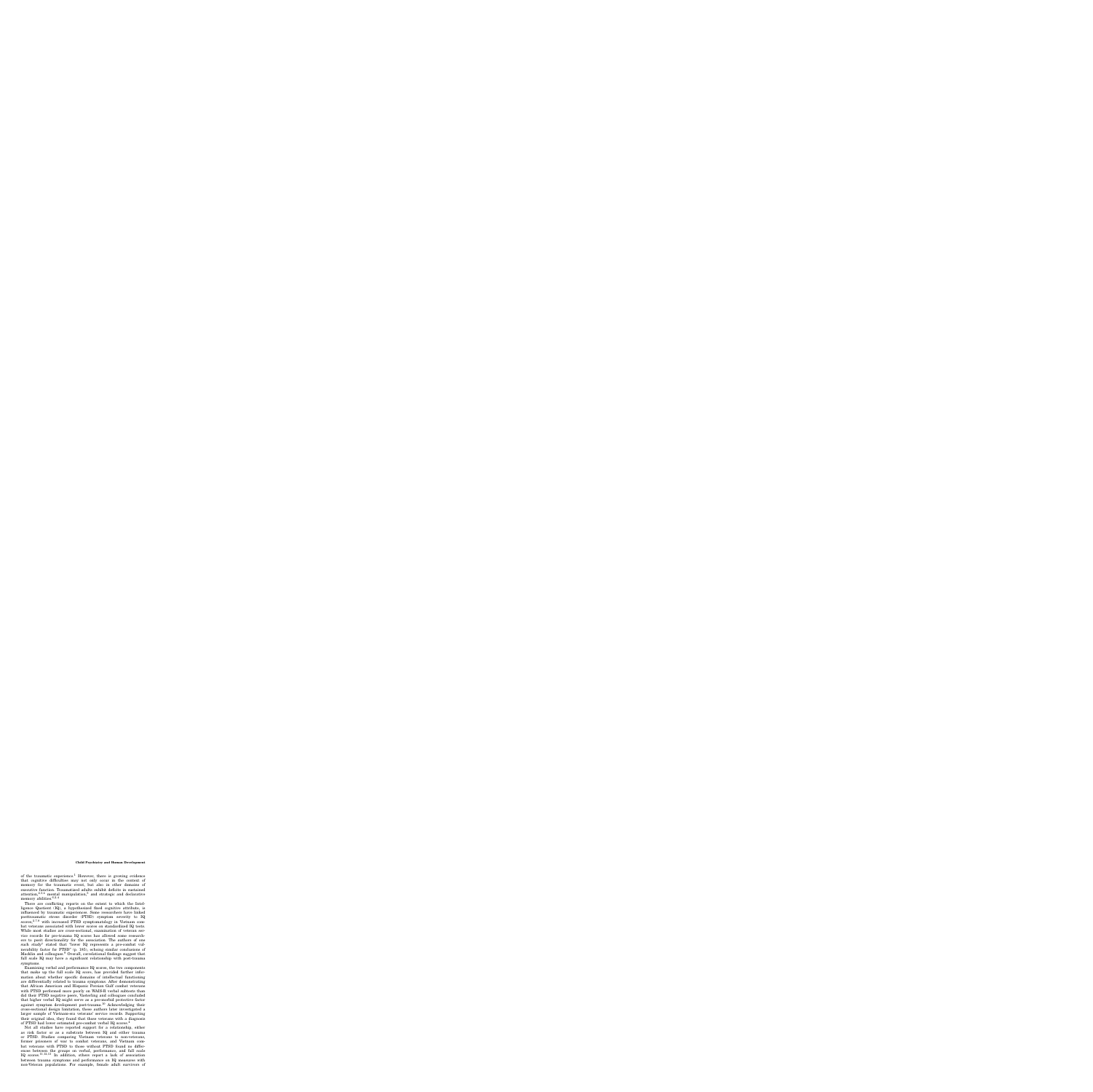of the traumatic experience.<sup>1</sup> However, there is growing evidence that cognitive difficulties may not only occur in the context of memory for the traumatic event, but also in other domains of executive function. Traumatized adults exhibit deficits in sustained attention,<sup>2,3,4</sup> mental manipulation,<sup>5</sup> and strategic and declarative memory abilities. $6,2,4$ 

There are conflicting reports on the extent to which the Intelligence Quotient (IQ), a hypothesized fixed cognitive attribute, is influenced by traumatic experiences. Some researchers have linked posttraumatic stress disorder (PTSD) symptom severity to IQ scores,  $2,7,8$  with increased PTSD symptomatology in Vietnam combat veterans associated with lower scores on standardized IQ tests. While most studies are cross-sectional, examination of veteran service records for pre-trauma IQ scores has allowed some researchers to posit directionality for the association. The authors of one such study<sup>7</sup> stated that "lower IQ represents a pre-combat vulnerability factor for PTSD" (p. 185), echoing similar conclusions of Macklin and colleagues.<sup>9</sup> Overall, correlational findings suggest that full scale IQ may have a significant relationship with post-trauma symptoms.

Examining verbal and performance IQ scores, the two components that make up the full scale IQ score, has provided further information about whether specific domains of intellectual functioning are differentially related to trauma symptoms. After demonstrating that African American and Hispanic Persian Gulf combat veterans with PTSD performed more poorly on WAIS-R verbal subtests than did their PTSD negative peers, Vasterling and colleagues concluded that higher verbal IQ might serve as a pre-morbid protective factor against symptom development post-trauma.<sup>10</sup> Acknowledging their cross-sectional design limitation, these authors later investigated a larger sample of Vietnam-era veterans' service records. Supporting their original idea, they found that those veterans with a diagnosis of PTSD had lower estimated pre-combat verbal IQ scores.<sup>4</sup>

Not all studies have reported support for a relationship, either as risk factor or as a substrate between IQ and either trauma or PTSD. Studies comparing Vietnam veterans to non-veterans, former prisoners of war to combat veterans, and Vietnam combat veterans with PTSD to those without PTSD found no differences between the groups on verbal, performance, and full scale IQ scores.11,12,<sup>13</sup> In addition, others report a lack of association between trauma symptoms and performance on IQ measures with non-Veteran populations. For example, female adult survivors of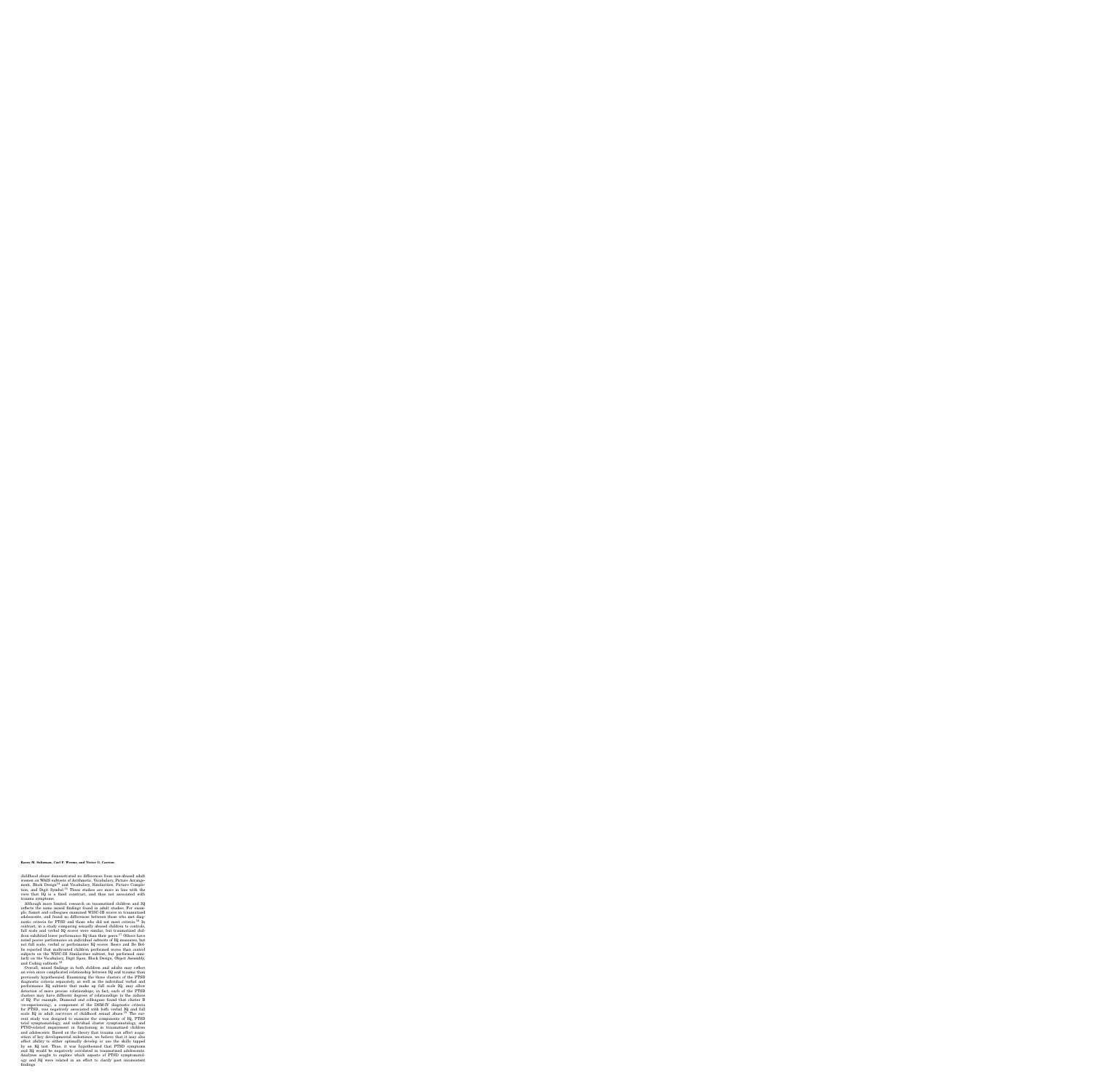childhood abuse demonstrated no differences from non-abused adult women on WAIS subtests of Arithmetic, Vocabulary, Picture Arrangement, Block Design<sup>14</sup> and Vocabulary, Similarities, Picture Completion, and Digit Symbol.<sup>15</sup> These studies are more in line with the view that IQ is a fixed construct, and thus not associated with trauma symptoms.

Although more limited, research on traumatized children and IQ reflects the same mixed findings found in adult studies. For example, Samet and colleagues examined WISC-III scores in traumatized adolescents, and found no differences between those who met diagnostic criteria for PTSD and those who did not meet criteria.<sup>16</sup> In contrast, in a study comparing sexually abused children to controls, full scale and verbal IQ scores were similar, but traumatized children exhibited lower performance IQ than their peers.<sup>17</sup> Others have noted poorer performance on individual subtests of IQ measures, but not full scale, verbal or performance IQ scores. Beers and De Bellis reported that maltreated children performed worse than control subjects on the WISC-III Similarities subtest, but performed similarly on the Vocabulary, Digit Span, Block Design, Object Assembly, and Coding subtests.<sup>18</sup>

Overall, mixed findings in both children and adults may reflect an even more complicated relationship between IQ and trauma than previously hypothesized. Examining the three clusters of the PTSD diagnostic criteria separately, as well as the individual verbal and performance IQ subtests that make up full scale IQ, may allow detection of more precise relationships; in fact, each of the PTSD clusters may have different degrees of relationships to the indices of IQ. For example, Diamond and colleagues found that cluster B (re-experiencing), a component of the DSM-IV diagnostic criteria for PTSD, was negatively associated with both verbal IQ and full scale IQ in adult survivors of childhood sexual abuse.<sup>19</sup> The current study was designed to examine the components of IQ, PTSD total symptomatology, and individual cluster symptomatology, and PTSD-related impairment in functioning in traumatized children and adolescents. Based on the theory that trauma can affect acquisition of key developmental milestones, we believe that it may also affect ability to either optimally develop or use the skills tapped by an IQ test. Thus, it was hypothesized that PTSD symptoms and IQ would be negatively correlated in traumatized adolescents. Analyses sought to explore which aspects of PTSD symptomatology and IQ were related in an effort to clarify past inconsistent findings.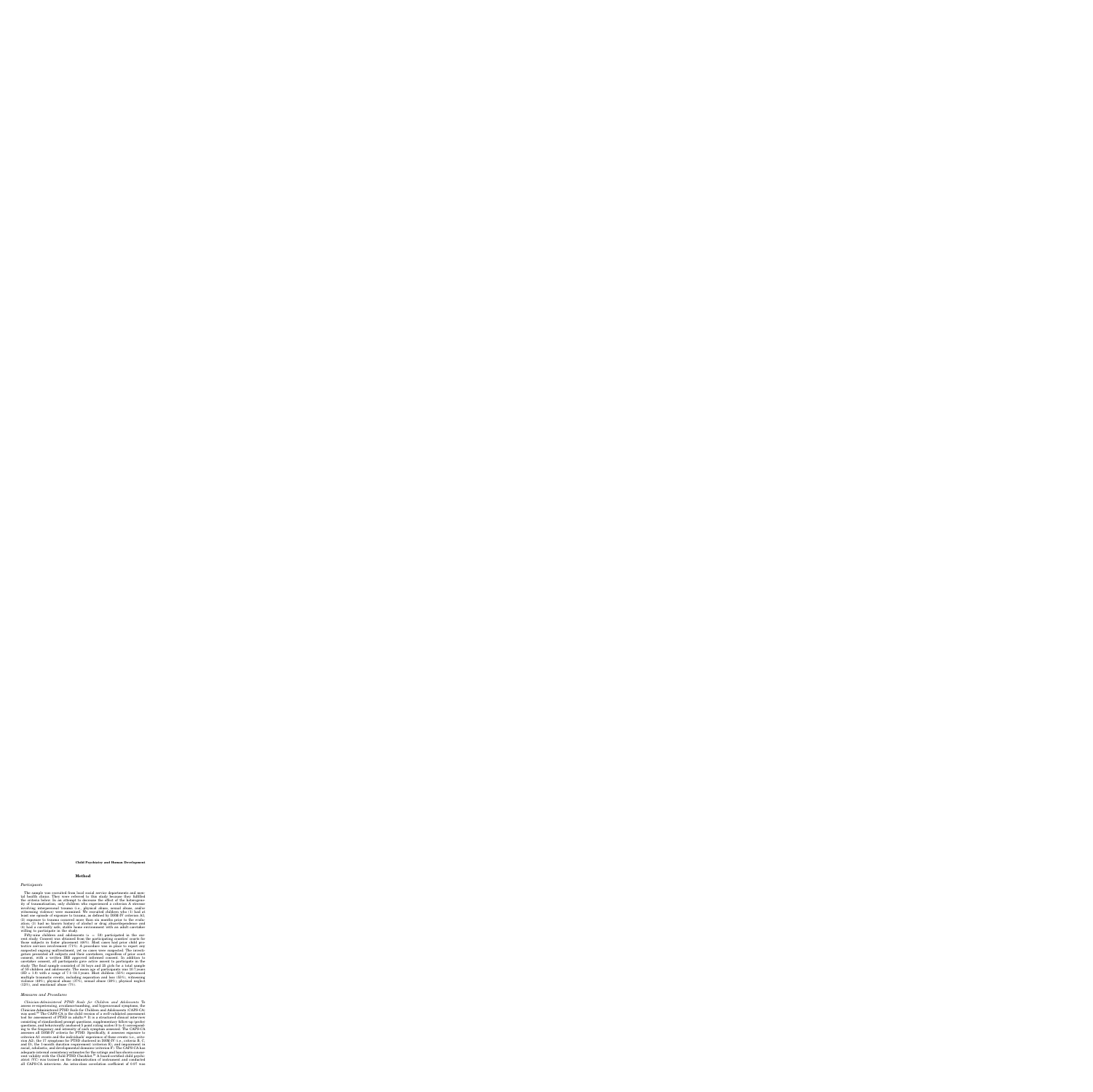# **Method**

#### *Participants*

The sample was recruited from local social service departments and mental health clinics. They were referred to this study because they fulfilled the criteria below. In an attempt to decrease the effect of the heterogeneity of traumatization, only children who experienced a criterion A stressor involving interpersonal trauma (i.e., physical abuse, sexual abuse, and/or witnessing violence) were examined. We recruited children who (1) had at least one episode of exposure to trauma, as defined by DSM-IV criterion A1; (2) exposure to trauma occurred more than six months prior to the evaluation; (3) had no known history of alcohol or drug abuse/dependence and (4) had a currently safe, stable home environment with an adult caretaker willing to participate in the study.

Fifty-nine children and adolescents  $(n = 59)$  participated in the current study. Consent was obtained from the participating counties' courts for those subjects in foster placement (46%). Most cases had prior child protective services involvement (71%). A procedure was in place to report any suspected ongoing maltreatment, yet no cases were suspected. The investigators presented all subjects and their caretakers, regardless of prior court consent, with a written IRB approved informed consent. In addition to caretaker consent, all participants gave active assent to participate in the study. The final sample consisted of 34 boys and 25 girls for a total sample of 59 children and adolescents. The mean age of participants was 10.7 years  $(SD = 1.9)$  with a range of 7.1–14.1 years. Most children (55%) experienced multiple traumatic events, including separation and loss (55%), witnessing violence (40%), physical abuse (37%), sexual abuse (20%), physical neglect (12%), and emotional abuse (7%).

### *Measures and Procedures*

*Clinician-Administered PTSD Scale for Children and Adolescents.* To assess re-experiencing, avoidance/numbing, and hyperarousal symptoms, the Clinician-Administered PTSD Scale for Children and Adolescents (CAPS-CA) was used.<sup>20</sup> The CAPS-CA is the child version of a well-validated assessment tool for assessment of PTSD in adults. $21$  It is a structured clinical interview consisting of standardized prompt questions, supplementary follow-up (probe) questions, and behaviorally anchored 5 point rating scales (0 to 4) corresponding to the frequency and intensity of each symptom assessed. The CAPS-CA assesses all DSM-IV criteria for PTSD. Specifically, it assesses exposure to criterion A1 events and the individuals' experience of these events (i.e., criterion A2), the 17 symptoms for PTSD clustered in DSM-IV (i.e., criteria B, C, and D), the 1-month duration requirement (criterion E), and impairment in social, scholastic, and developmental domains (criterion F). The CAPS-CA has adequate internal consistency estimates for the ratings and has shown concurrent validity with the Child PTSD Checklist.<sup>20</sup> A board-certified child psychiatrist (VC) was trained on the administration of instrument and conducted all CAPS-CA interviews. An intra-class correlation coefficient of 0.97 was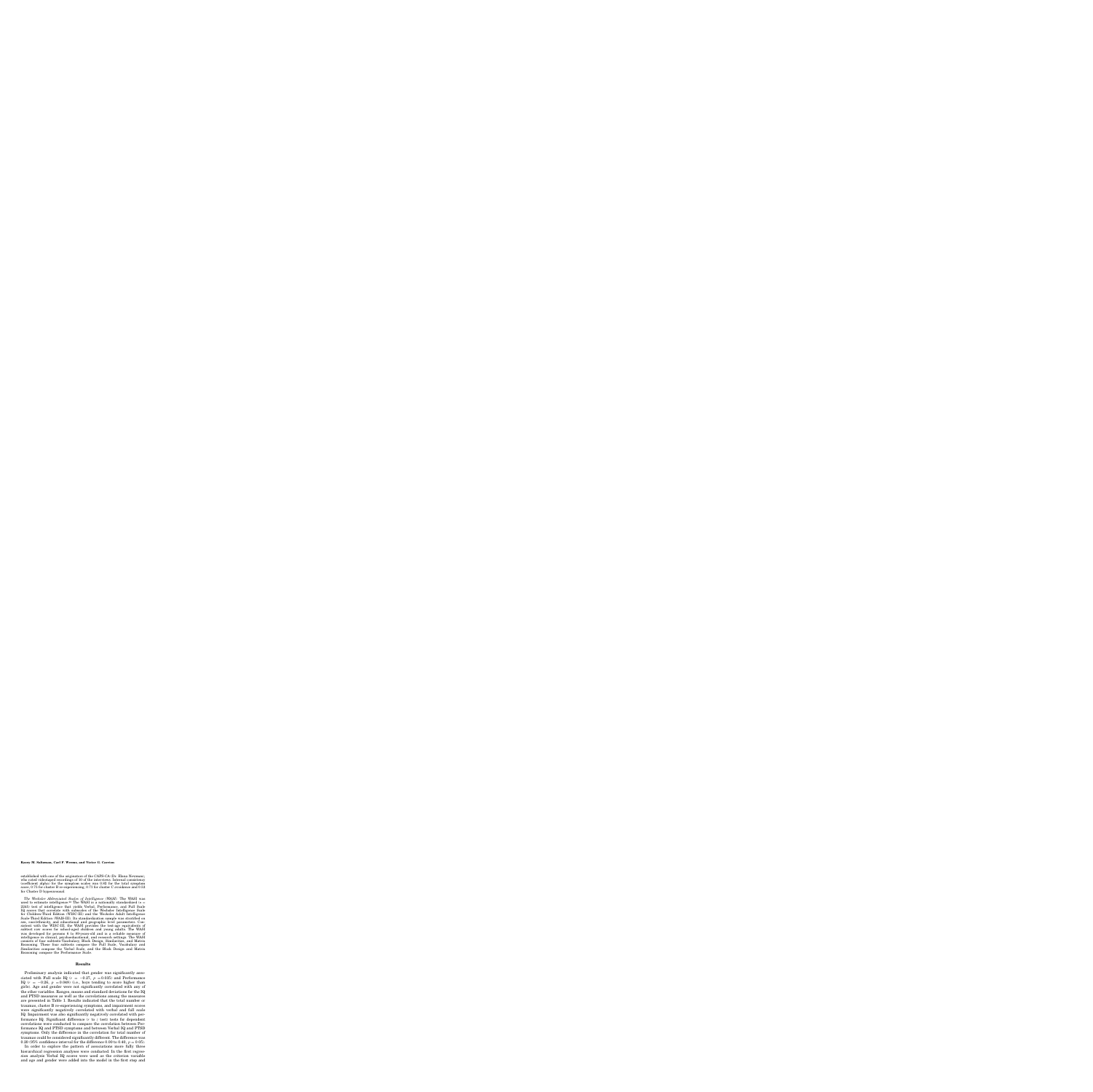#### **Kasey M. Saltzman, Carl F. Weems, and Victor G. Carrion**

established with one of the originators of the CAPS-CA (Dr. Elana Newman), who rated videotaped recordings of 10 of the interviews. Internal consistency (coefficient alpha) for the symptom scales was 0.82 for the total symptom score, 0.75 for cluster B re-experiencing, 0.71 for cluster C avoidance and 0.52 for Cluster D hyperarousal.

*The Wechsler Abbreviated Scales of Intelligence (WASI).* The WASI was used to estimate intelligence.<sup>22</sup> The WASI is a nationally standardized ( $n =$ 2245) test of intelligence that yields Verbal, Performance, and Full Scale IQ scores that correlate with subscales of the Wechsler Intelligence Scale for Children-Third Edition (WISC-III) and the Wechsler Adult Intelligence Scale-Third Edition (WAIS-III). Its standardization sample was stratified on sex, race/ethnicity, and educational and geographic level parameters. Consistent with the WISC-III, the WASI provides the test-age equivalents of subtest raw scores for school-aged children and young adults. The WASI was developed for persons 6 to 89-years-old and is a reliable measure of intelligence in clinical, psychoeducational, and research settings. The WASI consists of four subtests-Vocabulary, Block Design, Similarities, and Matrix Reasoning. These four subtests compose the Full Scale, Vocabulary and Similarities compose the Verbal Scale, and the Block Design and Matrix Reasoning compose the Performance Scale.

### **Results**

Preliminary analysis indicated that gender was significantly associated with Full scale IQ ( $r = -0.27$ ,  $p = 0.035$ ) and Performance IQ  $(r = -0.26, p = 0.048)$  (i.e., boys tending to score higher than girls). Age and gender were not significantly correlated with any of the other variables. Ranges, means and standard deviations for the IQ and PTSD measures as well as the correlations among the measures are presented in Table 1. Results indicated that the total number or traumas, cluster B re-experiencing symptoms, and impairment scores were significantly negatively correlated with verbal and full scale IQ. Impairment was also significantly negatively correlated with performance IQ. Significant difference  $(r \text{ to } z \text{ test})$  tests for dependent correlations were conducted to compare the correlation between Performance IQ and PTSD symptoms and between Verbal IQ and PTSD symptoms. Only the difference in the correlation for total number of traumas could be considered significantly different. The difference was 0.20 (95% confidence interval for the difference 0.00 to 0.40,  $p = 0.05$ ).

In order to explore the pattern of associations more fully three hierarchical regression analyses were conducted. In the first regression analysis Verbal IQ scores were used as the criterion variable and age and gender were added into the model in the first step and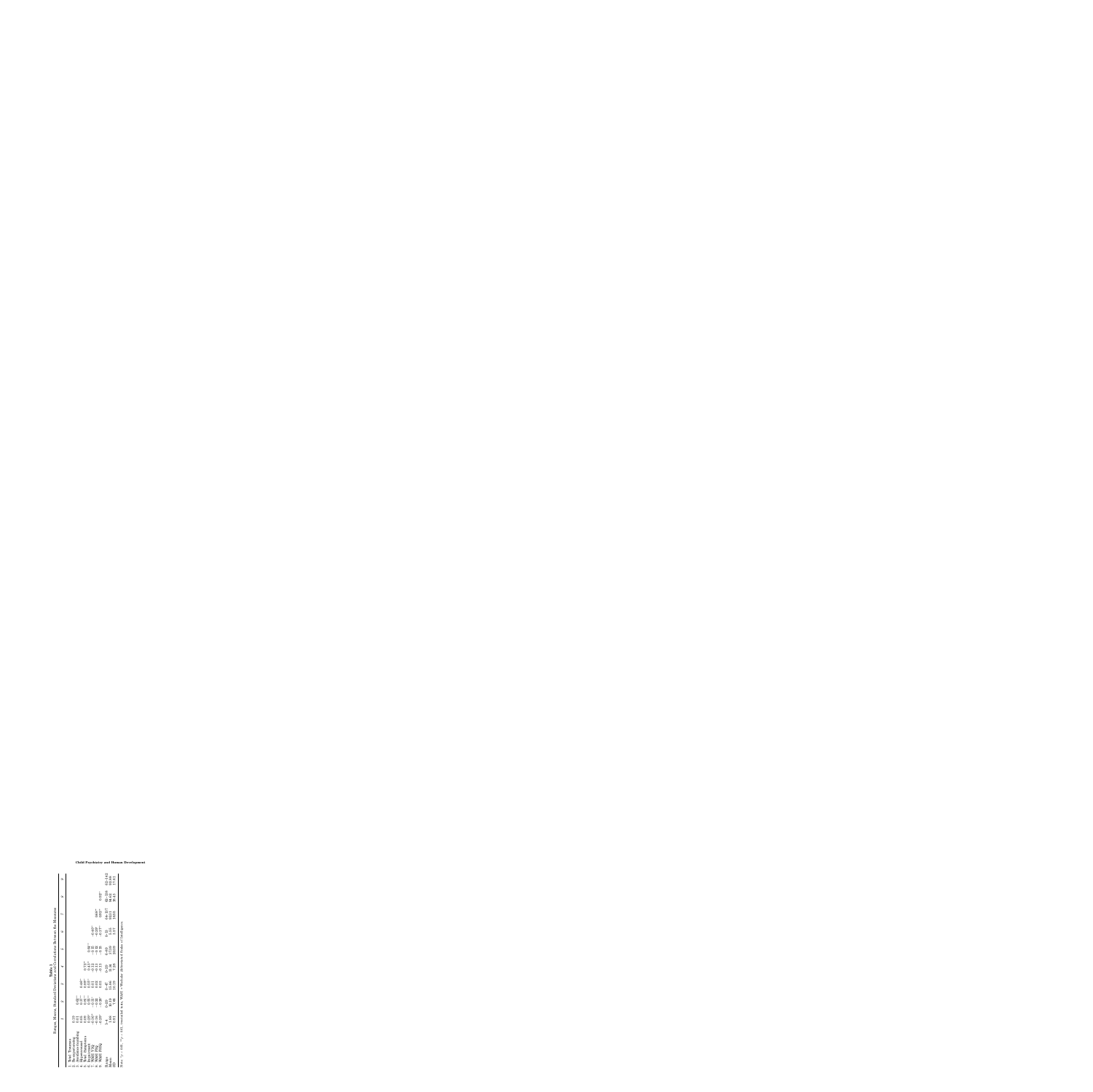|                                                                                                              | Ranges, Means, Standard Deviations and Correlations Between the Measures                                                                                                                                                                                                                                      |                                                                                 |                                                          |                                                             |                                            |                                     |                                  |                              |                                   |
|--------------------------------------------------------------------------------------------------------------|---------------------------------------------------------------------------------------------------------------------------------------------------------------------------------------------------------------------------------------------------------------------------------------------------------------|---------------------------------------------------------------------------------|----------------------------------------------------------|-------------------------------------------------------------|--------------------------------------------|-------------------------------------|----------------------------------|------------------------------|-----------------------------------|
|                                                                                                              |                                                                                                                                                                                                                                                                                                               |                                                                                 |                                                          |                                                             | 5                                          |                                     |                                  | ∞                            |                                   |
| 1. Total Traumas                                                                                             |                                                                                                                                                                                                                                                                                                               |                                                                                 |                                                          |                                                             |                                            |                                     |                                  |                              |                                   |
| 2. Re-experiencing                                                                                           | $0.19$<br>$0.01$                                                                                                                                                                                                                                                                                              |                                                                                 |                                                          |                                                             |                                            |                                     |                                  |                              |                                   |
| 3. Avoidance/num                                                                                             |                                                                                                                                                                                                                                                                                                               |                                                                                 |                                                          |                                                             |                                            |                                     |                                  |                              |                                   |
| Hyperarousa                                                                                                  |                                                                                                                                                                                                                                                                                                               |                                                                                 |                                                          |                                                             |                                            |                                     |                                  |                              |                                   |
| <b>Total Symptoms</b>                                                                                        |                                                                                                                                                                                                                                                                                                               |                                                                                 |                                                          |                                                             |                                            |                                     |                                  |                              |                                   |
| Impairment<br>Ġ                                                                                              |                                                                                                                                                                                                                                                                                                               |                                                                                 |                                                          |                                                             |                                            |                                     |                                  |                              |                                   |
| VIQ<br>VASI                                                                                                  |                                                                                                                                                                                                                                                                                                               |                                                                                 | ်း<br>နှစ်စီး ဦး ၁ ၁ ၁ ၁<br>၁ ၁ ၁ ၁ ၁ ၁ ၁<br>၁ ၁ ၁ ၁ ၁ ၁ |                                                             |                                            |                                     |                                  |                              |                                   |
| PIQ<br><b>WASI</b>                                                                                           |                                                                                                                                                                                                                                                                                                               |                                                                                 |                                                          |                                                             |                                            | $-0.40**$<br>$-0.29**$<br>$-0.37**$ |                                  |                              |                                   |
| FSIQ<br>WASI:                                                                                                | $\begin{array}{l} 0.9 \\ 0.9 \\ 0.03 \\ 0.01 \\ 0.02 \\ 0.03 \\ 0.04 \\ 0.00 \\ 0.00 \\ 0.00 \\ 0.00 \\ 0.00 \\ 0.00 \\ 0.00 \\ 0.00 \\ 0.00 \\ 0.00 \\ 0.00 \\ 0.00 \\ 0.00 \\ 0.00 \\ 0.00 \\ 0.00 \\ 0.00 \\ 0.00 \\ 0.00 \\ 0.00 \\ 0.00 \\ 0.00 \\ 0.00 \\ 0.00 \\ 0.00 \\ 0.00 \\ 0.00 \\ 0.00 \\ 0.00$ | $63^*$<br>$0.37^*$<br>$0.59^*$<br>$0.59^*$<br>$0.59^*$<br>$0.32^*$<br>$0.00000$ |                                                          | $0.72$<br>$0.43$<br>$0.12$<br>$-0.13$<br>$-0.13$<br>$-0.13$ | $0.64$ **<br>$-0.15$<br>$-0.12$<br>$-0.15$ |                                     | $0.68**0.07*0.0$                 | $0.92**$                     |                                   |
| Range                                                                                                        | $\overline{1}$                                                                                                                                                                                                                                                                                                |                                                                                 |                                                          |                                                             |                                            |                                     |                                  |                              |                                   |
| Mean                                                                                                         | $\frac{1.88}{0.91}$                                                                                                                                                                                                                                                                                           | $\frac{10.29}{7.66}$                                                            | $15.86$<br>15.86<br>10.19                                | $\frac{0-29}{11.34}$<br>7.28                                | $6 - 89$<br>$37.39$<br>$20.39$             | $13$<br>$5.55$<br>$3.57$            | $64 - 137$<br>$92.31$<br>$16.55$ | $62 - 138$<br>94.62<br>18.43 | $\frac{62 - 142}{92.88}$<br>17.61 |
| SD                                                                                                           |                                                                                                                                                                                                                                                                                                               |                                                                                 |                                                          |                                                             |                                            |                                     |                                  |                              |                                   |
| Note: $*_{p}$ < 0.05, $**_{p}$ < 0.01, two-tailed tests, WASI = Wechsler Abbreviated Scales of Intelligence. |                                                                                                                                                                                                                                                                                                               |                                                                                 |                                                          |                                                             |                                            |                                     |                                  |                              |                                   |

É  $\mathbf{r}$  $\ddot{\cdot}$ ł.  $\bf Table 1$ <br> $\begin{array}{c} 1 \\ -2 \end{array}$ Ė  $\cdot$  $\epsilon$ ÷ đ

# **Child Psychiatry and Human Development**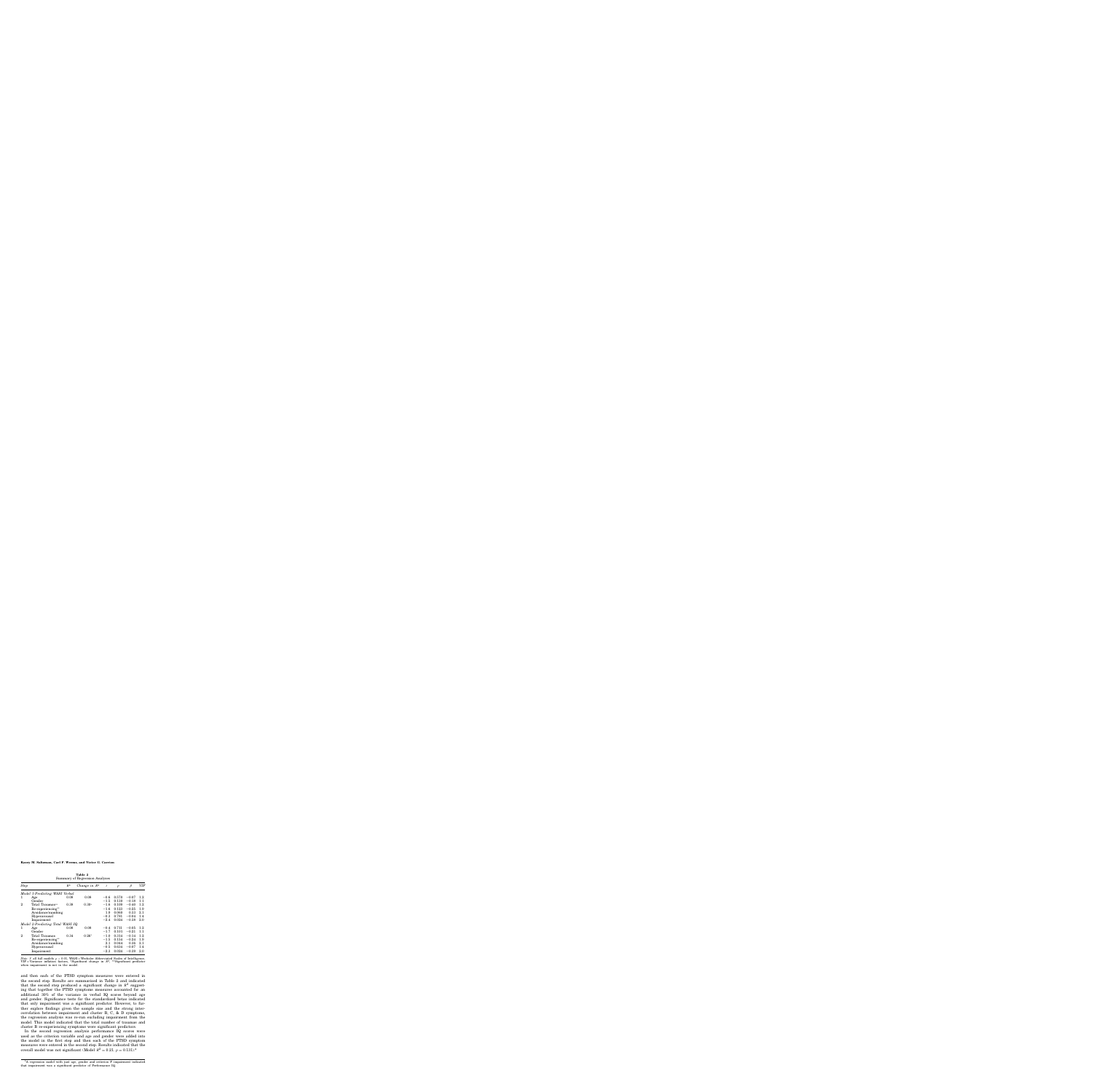|                |                                  |       | <b>Summary of Regression Analyses</b> |        |                  |         |         |
|----------------|----------------------------------|-------|---------------------------------------|--------|------------------|---------|---------|
| <b>Step</b>    |                                  | $R^2$ | Change in $R^2$                       | t      | $\boldsymbol{p}$ | β       | VIF     |
|                | Model 1-Predicting WASI Verbal   |       |                                       |        |                  |         |         |
| 1              | Age                              | 0.08  | 0.08                                  | $-0.6$ | 0.570            | $-0.07$ | 1.2     |
|                | Gender                           |       |                                       | $-1.5$ | 0.130            | $-0.18$ | 1.1     |
| $\overline{2}$ | Total Traumas**                  | 0.38  | $0.30*$                               | $-1.6$ | 0.109            | $-0.40$ | $1.2\,$ |
|                | $Re-experiencing**$              |       |                                       | $-1.6$ | 0.123            | $-0.25$ | 1.9     |
|                | Avoidance/numbing                |       |                                       | 1.9    | 0.060            | 0.33    | 2.1     |
|                | Hyperarousal                     |       |                                       | $-0.3$ | 0.781            | $-0.04$ | 1.4     |
|                | Impairment                       |       |                                       | $-2.4$ | 0.024            | $-0.38$ | 2.0     |
|                | Model 2-Predicting Total WASI IQ |       |                                       |        |                  |         |         |
| 1              | Age                              | 0.08  | 0.08                                  | $-0.4$ | 0.711            | $-0.05$ | $1.2\,$ |
|                | Gender                           |       |                                       | $-1.7$ | 0.101            | $-0.21$ | 1.1     |
| $\mathfrak{D}$ | Total Traumas                    | 0.34  | $0.26*$                               | $-1.0$ | 0.314            | $-0.14$ | $1.2\,$ |
|                | Re-experiencing**                |       |                                       | $-1.5$ | 0.154            | $-0.24$ | 1.9     |
|                | Avoidance/numbing                |       |                                       | 2.1    | 0.044            | 0.36    | 2.1     |
|                | Hyperarousal                     |       |                                       | $-0.5$ | 0.634            | $-0.07$ | 1.4     |
|                | Impairment                       |       |                                       | $-2.3$ | 0.024            | $-0.39$ | 2.0     |

**Table 2**

*Note: F* all full models  $p < 0.01$ , WASI = Wechsler Abbreviated Scales of Intelligence, VIF = Variance inflation factors, \*Significant change in  $R^2$ , \*\*Significant predictor when impairment is not in the model.

and then each of the PTSD symptom measures were entered in the second step. Results are summarized in Table 2 and indicated that the second step produced a significant change in  $\mathbb{R}^2$  suggesting that together the PTSD symptoms measures accounted for an additional 30% of the variance in verbal IQ scores beyond age and gender. Significance tests for the standardized betas indicated that only impairment was a significant predictor. However, to further explore findings given the sample size and the strong intercorrelation between impairment and cluster B, C, & D symptoms, the regression analysis was re-run excluding impairment from the model. This model indicated that the total number of traumas and cluster B re-experiencing symptoms were significant predictors.

In the second regression analysis performance IQ scores were used as the criterion variable and age and gender were added into the model in the first step and then each of the PTSD symptom measures were entered in the second step. Results indicated that the overall model was not significant (Model  $R^2 = 0.21$ ,  $p = 0.131$ ).<sup>a</sup>

<sup>&</sup>lt;sup>a</sup>A regression model with just age, gender and criterion F impairment indicated that impairment was a significant predictor of Performance IQ.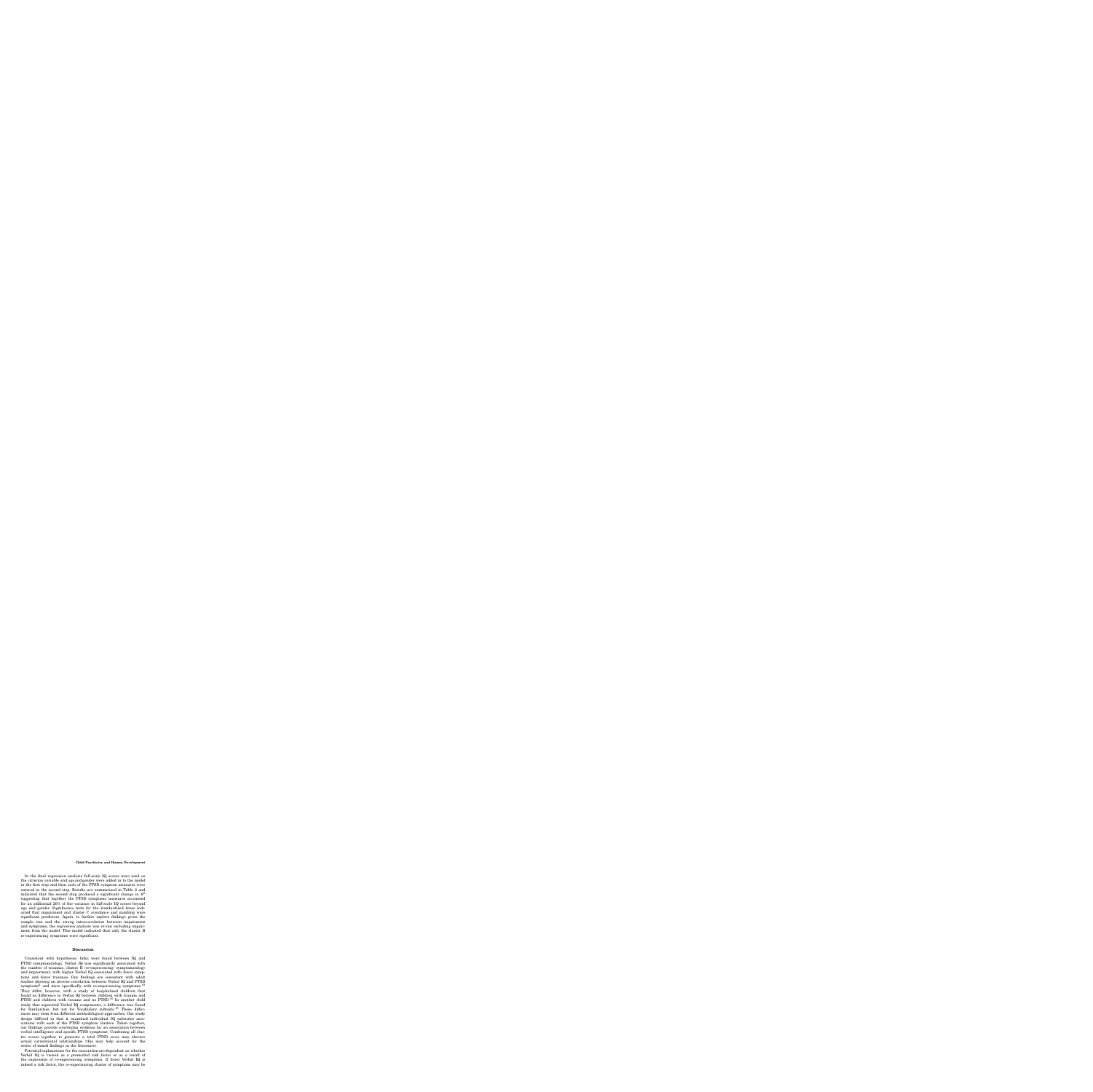In the final regression analysis full-scale IQ scores were used as the criterion variable and age and gender were added in to the model in the first step and then each of the PTSD symptom measures were entered in the second step. Results are summarized in Table 2 and indicated that the second step produced a significant change in  $\mathbb{R}^2$ suggesting that together the PTSD symptoms measures accounted for an additional 26% of the variance in full-scale IQ scores beyond age and gender. Significance tests for the standardized betas indicated that impairment and cluster C avoidance and numbing were significant predictors. Again, to further explore findings given the sample size and the strong intercorrelation between impairment and symptoms, the regression analysis was re-run excluding impairment from the model. This model indicated that only the cluster B re-experiencing symptoms were significant.

### **Discussion**

Consistent with hypotheses, links were found between IQ and PTSD symptomatology. Verbal IQ was significantly associated with the number of traumas, cluster B (re-experiencing) symptomatology and impairment, with higher Verbal IQ associated with fewer symptoms and fewer traumas. Our findings are consistent with adult studies showing an inverse correlation between Verbal IQ and PTSD symptoms<sup>4</sup> and more specifically with re-experiencing symptoms.<sup>19</sup> They differ, however, with a study of hospitalized children that found no difference in Verbal IQ between children with trauma and PTSD and children with trauma and no PTSD.<sup>16</sup> In another child study that separated Verbal IQ components, a difference was found for Similarities, but not for Vocabulary subtests.<sup>18</sup> These differences may stem from different methodological approaches. Our study design differed in that it examined individual IQ subscales associations with each of the PTSD symptom clusters. Taken together, our findings provide converging evidence for an association between verbal intelligence and specific PTSD symptoms. Combining all cluster scores together to generate a total PTSD score may obscure actual correlational relationships (this may help account for the series of mixed findings in the literature).

Potential explanations for the association are dependent on whether Verbal IQ is viewed as a premorbid risk factor or as a result of the expression of re-experiencing symptoms. If lower Verbal IQ is indeed a risk factor, the re-experiencing cluster of symptoms may be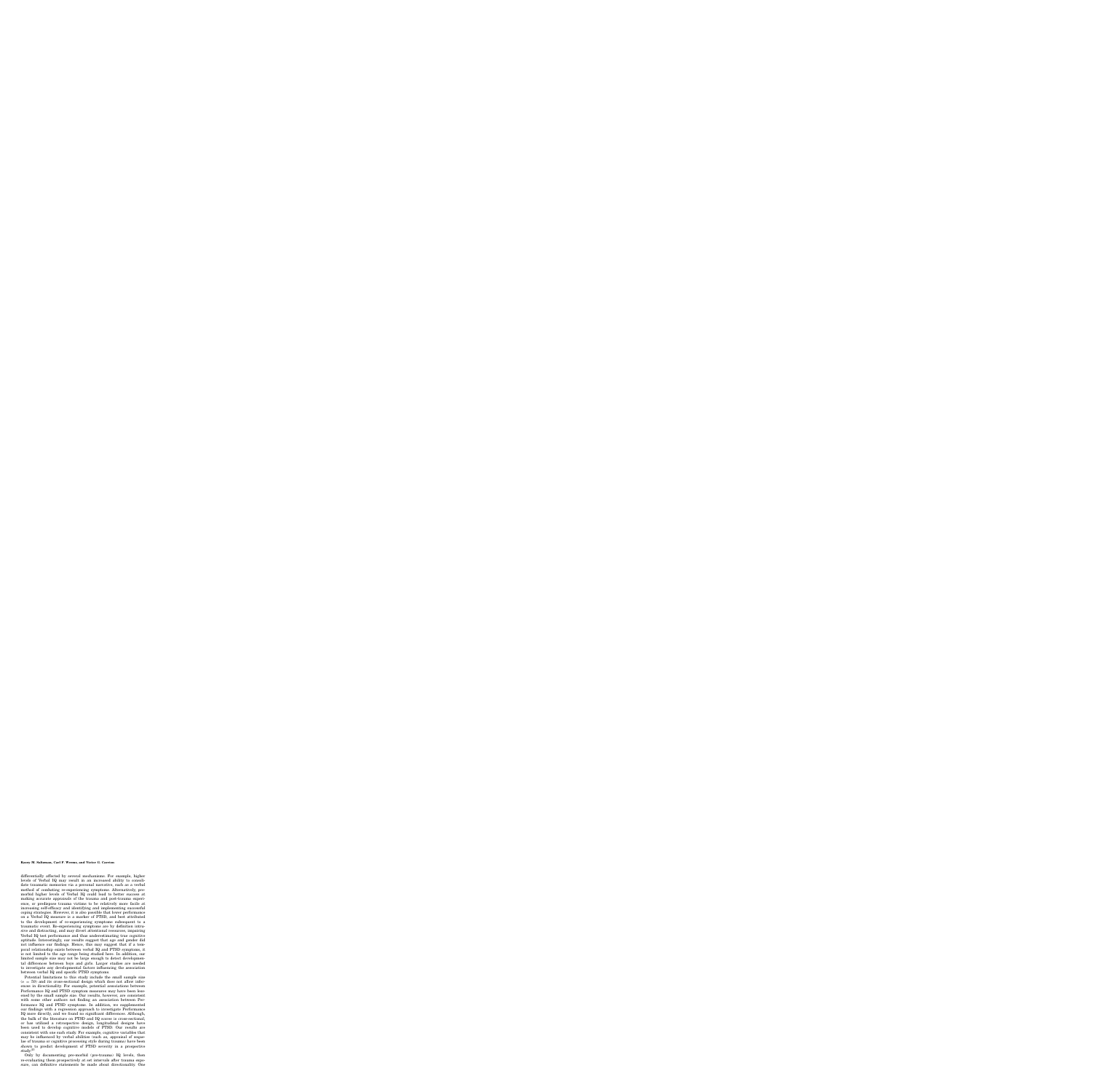differentially affected by several mechanisms. For example, higher levels of Verbal IQ may result in an increased ability to consolidate traumatic memories via a personal narrative, such as a verbal method of combating re-experiencing symptoms. Alternatively, premorbid higher levels of Verbal IQ could lead to better success at making accurate appraisals of the trauma and post-trauma experience, or predispose trauma victims to be relatively more facile at increasing self-efficacy and identifying and implementing successful coping strategies. However, it is also possible that lower performance on a Verbal IQ measure is a marker of PTSD, and best attributed to the development of re-experiencing symptoms subsequent to a traumatic event. Re-experiencing symptoms are by definition intrusive and distracting, and may divert attentional resources, impairing Verbal IQ test performance and thus underestimating true cognitive aptitude. Interestingly, our results suggest that age and gender did not influence our findings. Hence, this may suggest that if a temporal relationship exists between verbal IQ and PTSD symptoms, it is not limited to the age range being studied here. In addition, our limited sample size may not be large enough to detect developmental differences between boys and girls. Larger studies are needed to investigate any developmental factors influencing the association between verbal IQ and specific PTSD symptoms.

Potential limitations to this study include the small sample size  $(n = 59)$  and its cross-sectional design which does not allow inferences in directionality. For example, potential associations between Performance IQ and PTSD symptom measures may have been lessened by the small sample size. Our results, however, are consistent with some other authors not finding an association between Performance IQ and PTSD symptoms. In addition, we supplemented our findings with a regression approach to investigate Performance IQ more directly, and we found no significant differences. Although, the bulk of the literature on PTSD and IQ scores is cross-sectional, or has utilized a retrospective design, longitudinal designs have been used to develop cognitive models of PTSD. Our results are consistent with one such study. For example, cognitive variables that may be influenced by verbal abilities (such as, appraisal of sequelae of trauma or cognitive processing style during trauma) have been shown to predict development of PTSD severity in a prospective study.<sup>23</sup>

Only by documenting pre-morbid (pre-trauma) IQ levels, then re-evaluating them prospectively at set intervals after trauma exposure, can definitive statements be made about directionality. One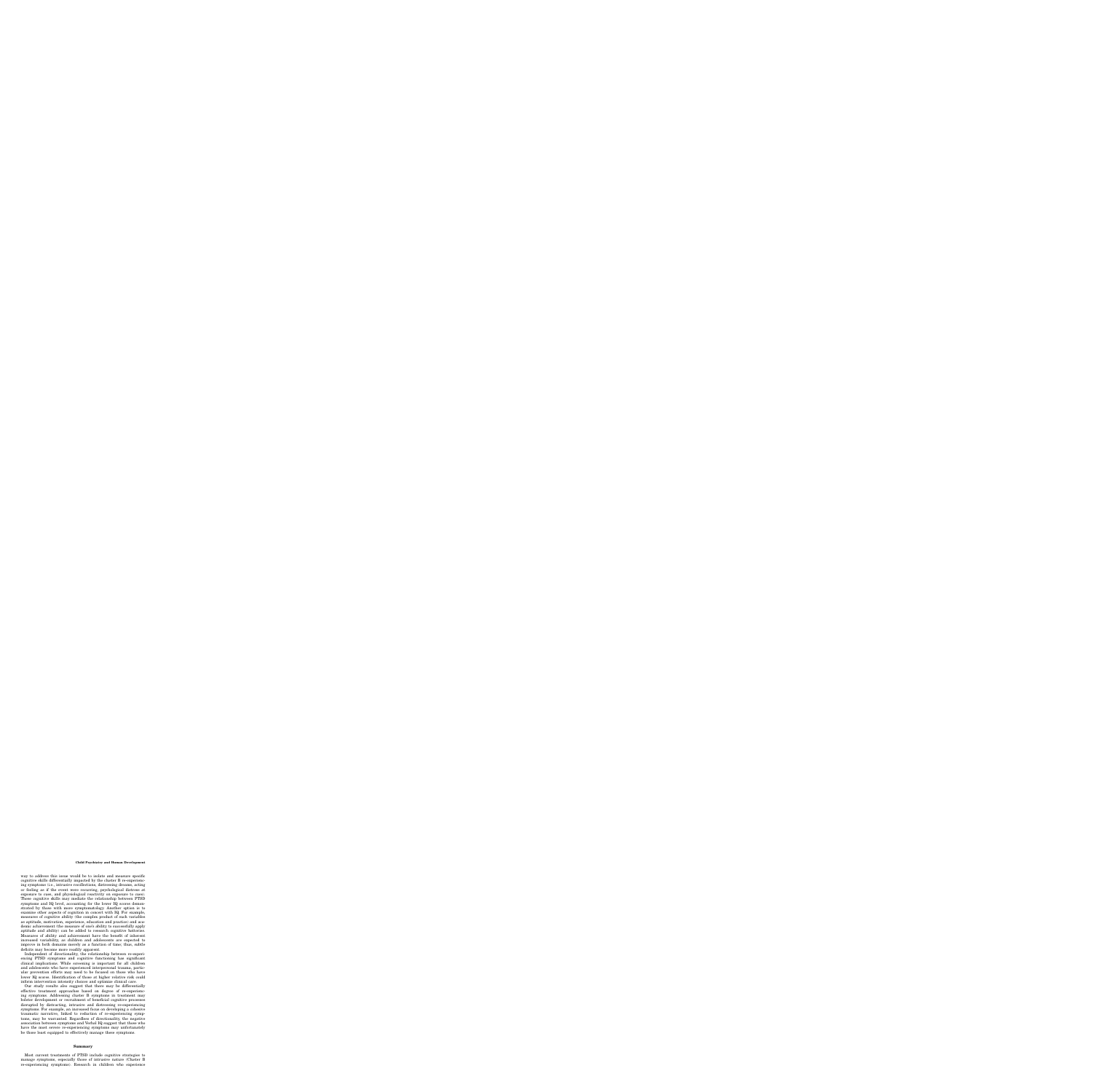way to address this issue would be to isolate and measure specific cognitive skills differentially impacted by the cluster B re-experiencing symptoms (i.e., intrusive recollections, distressing dreams, acting or feeling as if the event were recurring, psychological distress at exposure to cues, and physiological reactivity on exposure to cues). These cognitive skills may mediate the relationship between PTSD symptoms and IQ level, accounting for the lower IQ scores demonstrated by those with more symptomatology. Another option is to examine other aspects of cognition in concert with IQ. For example, measures of cognitive ability (the complex product of such variables as aptitude, motivation, experience, education and practice) and academic achievement (the measure of one's ability to successfully apply aptitude and ability) can be added to research cognitive batteries. Measures of ability and achievement have the benefit of inherent increased variability, as children and adolescents are expected to improve in both domains merely as a function of time; thus, subtle deficits may become more readily apparent.

Independent of directionality, the relationship between re-experiencing PTSD symptoms and cognitive functioning has significant clinical implications. While screening is important for all children and adolescents who have experienced interpersonal trauma, particular prevention efforts may need to be focused on those who have lower IQ scores. Identification of those at higher relative risk could inform intervention intensity choices and optimize clinical care.

Our study results also suggest that there may be differentially effective treatment approaches based on degree of re-experiencing symptoms. Addressing cluster B symptoms in treatment may bolster development or recruitment of beneficial cognitive processes disrupted by distracting, intrusive and distressing re-experiencing symptoms. For example, an increased focus on developing a cohesive traumatic narrative, linked to reduction of re-experiencing symptoms, may be warranted. Regardless of directionality, the negative association between symptoms and Verbal IQ suggest that those who have the most severe re-experiencing symptoms may unfortunately be those least equipped to effectively manage these symptoms.

### **Summary**

Most current treatments of PTSD include cognitive strategies to manage symptoms, especially those of intrusive nature (Cluster B re-experiencing symptoms). Research in children who experience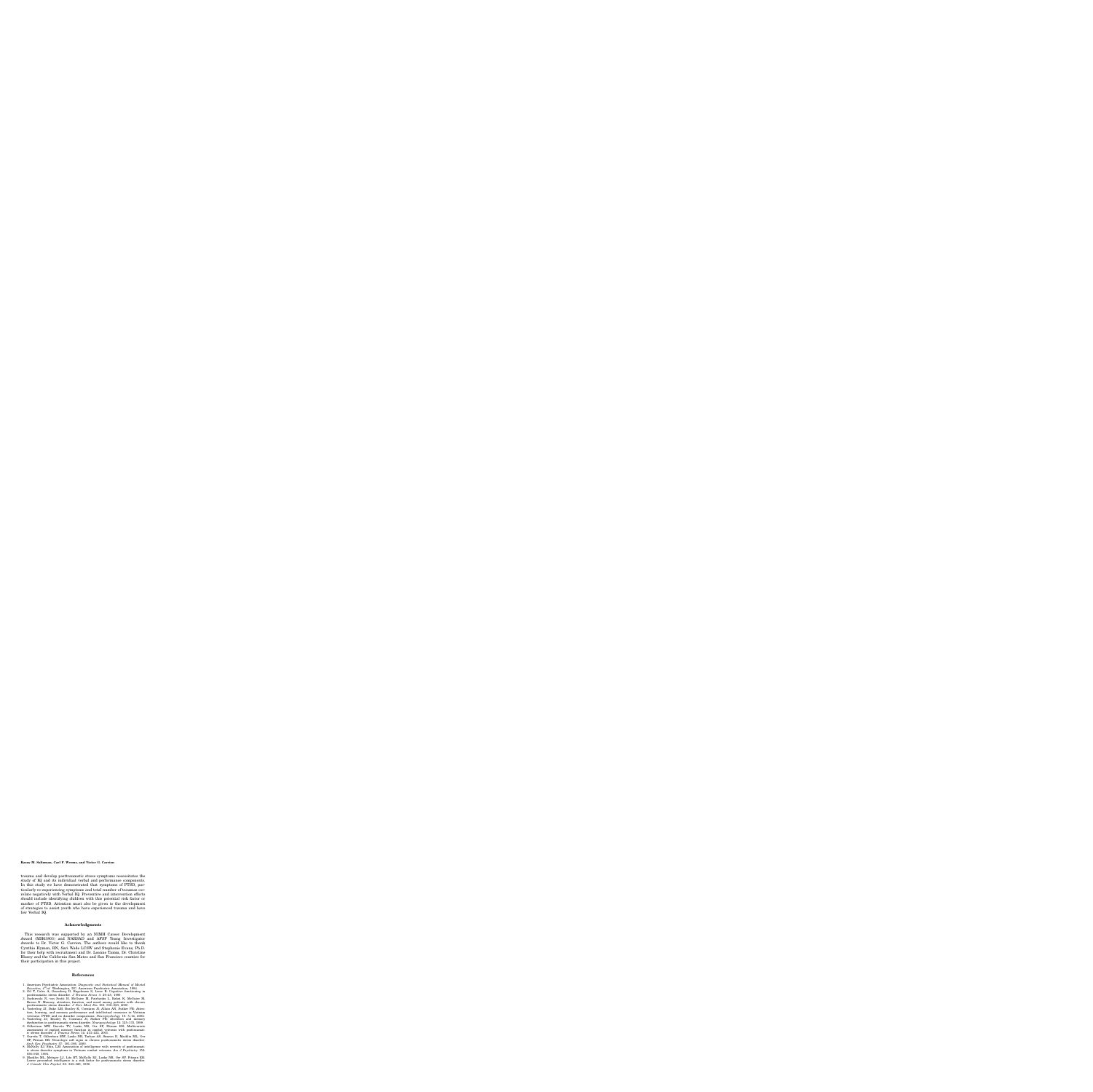#### **Kasey M. Saltzman, Carl F. Weems, and Victor G. Carrion**

trauma and develop posttraumatic stress symptoms necessitates the study of IQ and its individual verbal and performance components. In this study we have demonstrated that symptoms of PTSD, particularly re-experiencing symptoms and total number of traumas correlate negatively with Verbal IQ. Preventive and intervention efforts should include identifying children with this potential risk factor or marker of PTSD. Attention must also be given to the development of strategies to assist youth who have experienced trauma and have low Verbal IQ.

### **Acknowledgments**

This research was supported by an NIMH Career Development Award (MH63803) and NARSAD and AFSP Young Investigator Awards to Dr. Victor G. Carrion. The authors would like to thank Cynthia Hyman, RN, Sari Wade LCSW and Stephanie Evans, Ph.D. for their help with recruitment and Dr. Leanne Tamm, Dr. Christine Blasey and the California San Mateo and San Francisco counties for their participation in this project.

### **References**

- 1. American Psychiatric Association: *Diagnostic and Statistical Manual of Mental Disorders, 4*th*ed.* Washington, DC: American Psychiatric Association, 1994.
- 2. Gil T, Calev A, Greenberg D, Kugelmass S, Lerer B: Cognitive functioning in posttraumatic stress disorder. *J Trauma Stress* 3: 29–45, 1990.
- 3. Sachinvala N, von Scotti H, McGuire M, Fairbanks L, Bakst K, McGuire M, Brown N: Memory, attention, function, and mood among patients with chronic posttraumatic stress disorder. *J Nerv Ment Dis* 188: 818–823, 2000.
- 4. Vasterling JJ, Duke LM, Brailey K, Constans JI, Allain AN, Sutker PB: Attention, learning, and memory performance and intellectual resources in Vietnam veterans: PTSD and no disorder comparisons. *Neuropsychology* 16: 5–14, 2002.
- 5. Vasterling JJ, Brailey K, Constans JI, Sutker PB: Attention and memory dysfunction in posttraumatic stress disorder. *Neuropsychology* 12: 125–133, 1998.
- 6. Gilbertson MW, Gurvits TV, Lasko NB, Orr SP, Pitman RK: Multivariate assessment of explicit memory function in combat veterans with posttraumatic stress disorder. *J Trauma Stress* 14: 413–432, 2001.
- 7. Gurvits T, Gilbertson MW, Lasko NB, Tarhan AS, Simeon D, Macklin ML, Orr SP, Pitman RK: Neurologic soft signs in chronic posttraumatic stress disorder. *Arch Gen Psychiatry* 57: 181–186, 2000.
- 8. McNally RJ, Shin, LM: Association of intelligence with severity of posttraumatic stress disorder symptoms in Vietnam combat veterans. *Am J Psychiatry* 152: 936–938, 1995.
- 9. Macklin ML, Metzger LJ, Litz BT, McNally RJ, Lasko NB, Orr SP, Pitman RK: Lower precombat intelligence is a risk factor for posttraumatic stress disorder. *J Consult Clin Psychol* 66: 323–326, 1998.